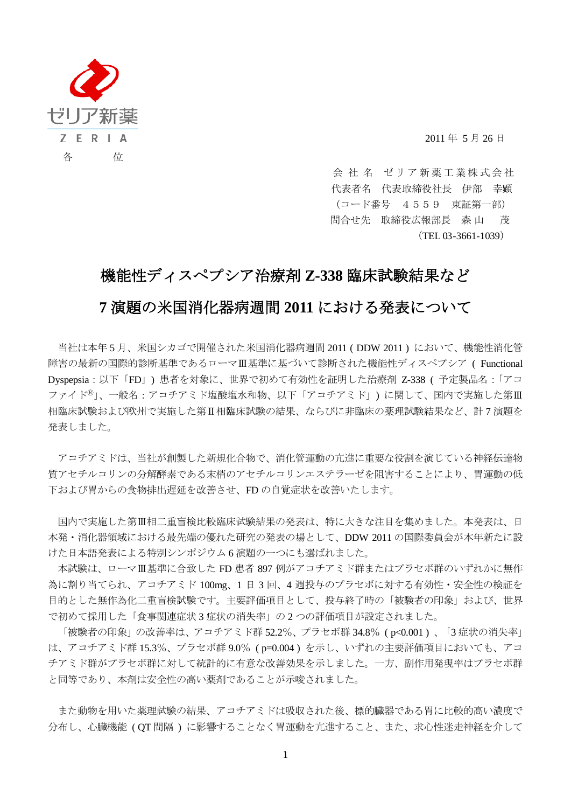

2011 年 5 月 26 日

会社名 ゼリア新薬工業株式会社 代表者名 代表取締役社長 伊部 幸顕 (コード番号 4559 東証第一部) 問合せ先 取締役広報部長 森 山 茂 (TEL 03-3661-1039)

## 機能性ディスペプシア治療剤 **Z-338** 臨床試験結果など

## **7** 演題の米国消化器病週間 **2011** における発表について

当社は本年 5 月、米国シカゴで開催された米国消化器病週間 2011 ( DDW 2011 ) において、機能性消化管 障害の最新の国際的診断基準であるローマⅢ基準に基づいて診断された機能性ディスペプシア ( Functional Dyspepsia:以下「FD」) 患者を対象に、世界で初めて有効性を証明した治療剤 Z-338 ( 予定製品名:「アコ ファイドⓇ」、一般名:アコチアミド塩酸塩水和物、以下「アコチアミド」) に関して、国内で実施した第Ⅲ 相臨床試験および欧州で実施した第Ⅱ相臨床試験の結果、ならびに非臨床の薬理試験結果など、計 7 演題を 発表しました。

アコチアミドは、当社が創製した新規化合物で、消化管運動の亢進に重要な役割を演じている神経伝達物 質アセチルコリンの分解酵素である末梢のアセチルコリンエステラーゼを阻害することにより、胃運動の低 下および胃からの食物排出遅延を改善させ、FD の自覚症状を改善いたします。

国内で実施した第Ⅲ相二重盲検比較臨床試験結果の発表は、特に大きな注目を集めました。本発表は、日 本発・消化器領域における最先端の優れた研究の発表の場として、DDW 2011 の国際委員会が本年新たに設 けた日本語発表による特別シンポジウム 6 演題の一つにも選ばれました。

本試験は、ローマⅢ基準に合致した FD 患者 897 例がアコチアミド群またはプラセボ群のいずれかに無作 為に割り当てられ、アコチアミド 100mg、1 日 3 回、4 週投与のプラセボに対する有効性・安全性の検証を 目的とした無作為化二重盲検試験です。主要評価項目として、投与終了時の「被験者の印象」および、世界 で初めて採用した「食事関連症状 3 症状の消失率」の 2 つの評価項目が設定されました。

「被験者の印象」の改善率は、アコチアミド群 52.2%、プラセボ群 34.8% ( p<0.001 ) 、「3 症状の消失率」 は、アコチアミド群 15.3%、プラセボ群 9.0% ( p=0.004 ) を示し、いずれの主要評価項目においても、アコ チアミド群がプラセボ群に対して統計的に有意な改善効果を示しました。一方、副作用発現率はプラセボ群 と同等であり、本剤は安全性の高い薬剤であることが示唆されました。

また動物を用いた薬理試験の結果、アコチアミドは吸収された後、標的臓器である胃に比較的高い濃度で 分布し、心臓機能 ( QT 間隔 ) に影響することなく胃運動を亢進すること、また、求心性迷走神経を介して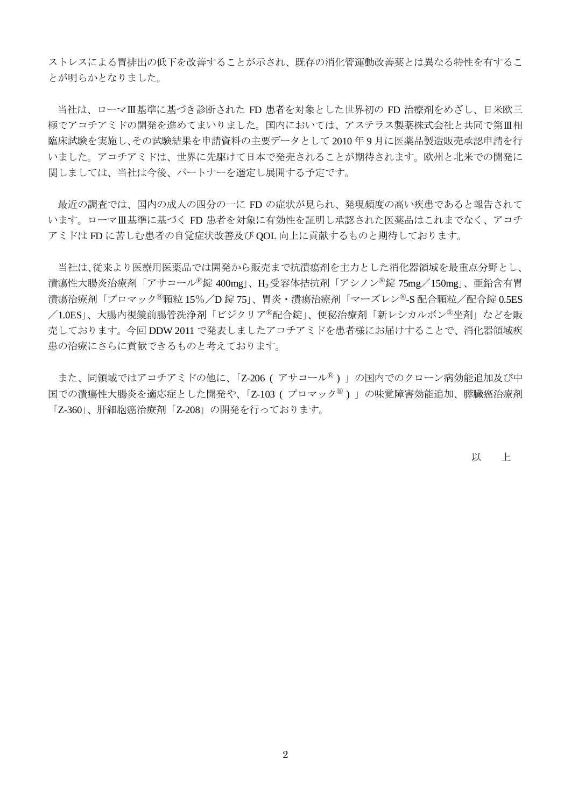ストレスによる胃排出の低下を改善することが示され、既存の消化管運動改善薬とは異なる特性を有するこ とが明らかとなりました。

当社は、ローマⅢ基準に基づき診断された FD 患者を対象とした世界初の FD 治療剤をめざし、日米欧三 極でアコチアミドの開発を進めてまいりました。国内においては、アステラス製薬株式会社と共同で第Ⅲ相 臨床試験を実施し、その試験結果を申請資料の主要データとして 2010 年 9 月に医薬品製造販売承認申請を行 いました。アコチアミドは、世界に先駆けて日本で発売されることが期待されます。欧州と北米での開発に 関しましては、当社は今後、パートナーを選定し展開する予定です。

最近の調査では、国内の成人の四分の一に FD の症状が見られ、発現頻度の高い疾患であると報告されて います。ローマⅢ基準に基づく FD 患者を対象に有効性を証明し承認された医薬品はこれまでなく、アコチ アミドは FD に苦しむ患者の自覚症状改善及び QOL 向上に貢献するものと期待しております。

当社は、従来より医療用医薬品では開発から販売まで抗潰瘍剤を主力とした消化器領域を最重点分野とし、 潰瘍性大腸炎治療剤「アサコール<sup>®</sup>錠 400mg」、H<sub>2</sub>受容体拮抗剤「アシノン<sup>®</sup>錠 75mg/150mg」、亜鉛含有胃 潰瘍治療剤「プロマック<sup>®</sup>顆粒 15%/D 錠 75」、胃炎・潰瘍治療剤「マーズレン®-S 配合顆粒/配合錠 0.5ES /1.0ES」、大腸内視鏡前腸管洗浄剤「ビジクリア®配合錠」、便秘治療剤「新レシカルボン®坐剤」などを販 売しております。今回 DDW 2011 で発表しましたアコチアミドを患者様にお届けすることで、消化器領域疾 患の治療にさらに貢献できるものと考えております。

また、同領域ではアコチアミドの他に、「Z-206 (アサコール<sup>®</sup>)」の国内でのクローン病効能追加及び中 国での潰瘍性大腸炎を適応症とした開発や、「Z-103 (プロマック®)」の味覚障害効能追加、膵臓癌治療剤 「Z-360」、肝細胞癌治療剤「Z-208」の開発を行っております。

以 上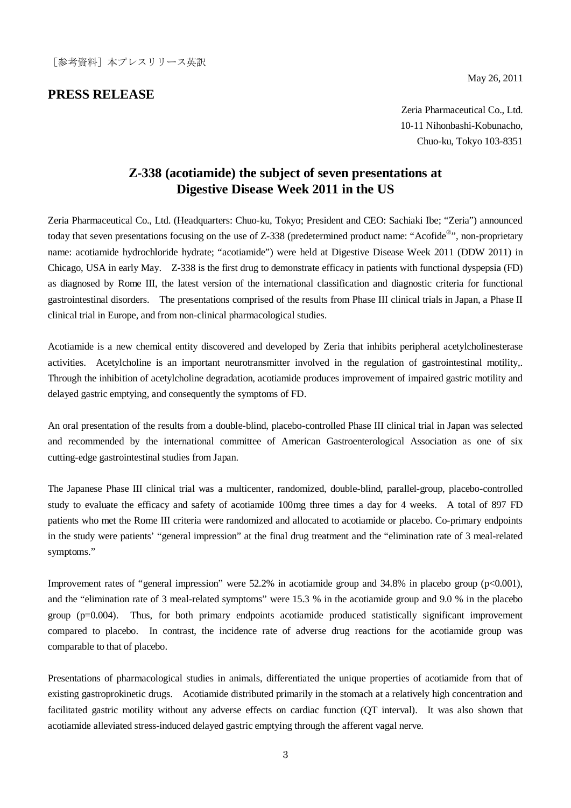## **PRESS RELEASE**

May 26, 2011

Zeria Pharmaceutical Co., Ltd. 10-11 Nihonbashi-Kobunacho, Chuo-ku, Tokyo 103-8351

## **Z-338 (acotiamide) the subject of seven presentations at Digestive Disease Week 2011 in the US**

Zeria Pharmaceutical Co., Ltd. (Headquarters: Chuo-ku, Tokyo; President and CEO: Sachiaki Ibe; "Zeria") announced today that seven presentations focusing on the use of Z-338 (predetermined product name: "Acofide<sup>®</sup>", non-proprietary name: acotiamide hydrochloride hydrate; "acotiamide") were held at Digestive Disease Week 2011 (DDW 2011) in Chicago, USA in early May. Z-338 is the first drug to demonstrate efficacy in patients with functional dyspepsia (FD) as diagnosed by Rome III, the latest version of the international classification and diagnostic criteria for functional gastrointestinal disorders. The presentations comprised of the results from Phase III clinical trials in Japan, a Phase II clinical trial in Europe, and from non-clinical pharmacological studies.

Acotiamide is a new chemical entity discovered and developed by Zeria that inhibits peripheral acetylcholinesterase activities. Acetylcholine is an important neurotransmitter involved in the regulation of gastrointestinal motility,. Through the inhibition of acetylcholine degradation, acotiamide produces improvement of impaired gastric motility and delayed gastric emptying, and consequently the symptoms of FD.

An oral presentation of the results from a double-blind, placebo-controlled Phase III clinical trial in Japan was selected and recommended by the international committee of American Gastroenterological Association as one of six cutting-edge gastrointestinal studies from Japan.

The Japanese Phase III clinical trial was a multicenter, randomized, double-blind, parallel-group, placebo-controlled study to evaluate the efficacy and safety of acotiamide 100mg three times a day for 4 weeks. A total of 897 FD patients who met the Rome III criteria were randomized and allocated to acotiamide or placebo. Co-primary endpoints in the study were patients' "general impression" at the final drug treatment and the "elimination rate of 3 meal-related symptoms."

Improvement rates of "general impression" were 52.2% in acotiamide group and 34.8% in placebo group (p<0.001), and the "elimination rate of 3 meal-related symptoms" were 15.3 % in the acotiamide group and 9.0 % in the placebo group (p=0.004). Thus, for both primary endpoints acotiamide produced statistically significant improvement compared to placebo. In contrast, the incidence rate of adverse drug reactions for the acotiamide group was comparable to that of placebo.

Presentations of pharmacological studies in animals, differentiated the unique properties of acotiamide from that of existing gastroprokinetic drugs. Acotiamide distributed primarily in the stomach at a relatively high concentration and facilitated gastric motility without any adverse effects on cardiac function (QT interval). It was also shown that acotiamide alleviated stress-induced delayed gastric emptying through the afferent vagal nerve.